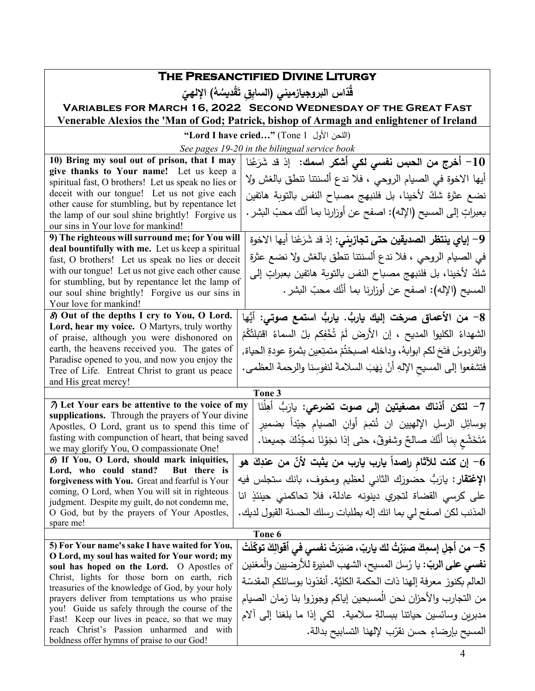|                                                                                                     | THE PRESANCTIFIED DIVINE LITURGY                                             |
|-----------------------------------------------------------------------------------------------------|------------------------------------------------------------------------------|
|                                                                                                     |                                                                              |
|                                                                                                     | قدّاس البروجيازميني (السابق تَقْديسُهُ) الإلهيّ                              |
| <b>VARIABLES FOR MARCH 16, 2022 SECOND WEDNESDAY OF THE GREAT FAST</b>                              |                                                                              |
| Venerable Alexios the 'Man of God; Patrick, bishop of Armagh and enlightener of Ireland             |                                                                              |
| "Lord I have cried" (Tone 1 اللحن الأول)                                                            |                                                                              |
| See pages 19-20 in the bilingual service book                                                       |                                                                              |
| 10) Bring my soul out of prison, that I may                                                         | 10 – أخرج من الحبس نف <i>سى</i> لك <i>ى</i> أشكر اسمك:  إذ قد شَرَعْنا       |
| give thanks to Your name! Let us keep a                                                             |                                                                              |
| spiritual fast, O brothers! Let us speak no lies or                                                 | أيها الاخوة في الصيام الروحي ، فلا ندع ألسنتنا تنطق بالغش ولا                |
| deceit with our tongue! Let us not give each                                                        | نضع عثرة شكّ لأخينا، بل فلنبهج مصباح النفس بالتوبة هاتفين                    |
| other cause for stumbling, but by repentance let                                                    |                                                                              |
| the lamp of our soul shine brightly! Forgive us                                                     | بعبراتٍ إلى المسيح (الإله): اصفح عن أوزارنا بما أنَّك محبّ البشر .           |
| our sins in Your love for mankind!                                                                  |                                                                              |
| 9) The righteous will surround me; for You will                                                     | 9– إ <b>ياي ينتظر الصديقين حتى تجازيني</b> : إذ قد شَرَعْنا أيها الاخوة      |
| deal bountifully with me. Let us keep a spiritual                                                   | في الصيام الروحي ، فلا ندع ألسنتنا تنطق بالغش ولا نضع عثرة                   |
| fast, O brothers! Let us speak no lies or deceit                                                    |                                                                              |
| with our tongue! Let us not give each other cause                                                   | شكّ لأخينا، بل فلنبهج مصباح النفس بالتوبة هاتفين بعبراتٍ إلى                 |
| for stumbling, but by repentance let the lamp of<br>our soul shine brightly! Forgive us our sins in | المسيح (الإله): اصفح عن أوزارنا بما أنَّك محبِّ البشر .                      |
| Your love for mankind!                                                                              |                                                                              |
| 8) Out of the depths I cry to You, O Lord.                                                          |                                                                              |
| Lord, hear my voice. O Martyrs, truly worthy                                                        | 8– من الأعماق صرخت إليك ياربُّ. ياربُّ استمع صوتي: أيُّها                    |
| of praise, although you were dishonored on                                                          | الشهداءُ الكليوا المديح ، إن الأرضَ لَمْ تُخْفِكم بلْ السماءُ اقتبلتْكُمْ    |
| earth, the heavens received you. The gates of                                                       | والفردوسُ فتَحَ لكم ابوابهُ، وداخله اصبحْتُمْ متمتِعين بثمرة عودةِ الحياة,   |
| Paradise opened to you, and now you enjoy the                                                       |                                                                              |
| Tree of Life. Entreat Christ to grant us peace                                                      | فتشفعوا إلى المسيح الإلهِ أنْ يَهَبَ السلامةَ لنفوسِنا والرحمةَ العظمى.      |
| and His great mercy!                                                                                |                                                                              |
| Tone 3                                                                                              |                                                                              |
| 7) Let Your ears be attentive to the voice of my                                                    | 7– لتكن أذناك مصغيتين إلى صوت تضرعي: يارَبُ أهِلْنَا                         |
| supplications. Through the prayers of Your divine                                                   |                                                                              |
| Apostles, O Lord, grant us to spend this time of                                                    | بوسائِلِ الرسلِ الإلهيين ان نُتمِمَ أوانِ الصيام جيّداً بضميرِ               |
| fasting with compunction of heart, that being saved                                                 | مُتَخَشِّعٍ بِمَا أَنَّكَ صالحٌ وشفوقٌ، حتى إذا نجَوْنَا نمجِّدُكَ جميعنا.   |
| we may glorify You, O compassionate One!                                                            |                                                                              |
| 6) If You, O Lord, should mark iniquities,                                                          | 6– إن كنت للآثام راصداً يارب يارب من يثبت لأنّ من عندِكَ هو                  |
| Lord, who could stand?<br>But there is<br>forgiveness with You. Great and fearful is Your           | الإغتقار : يارَبُّ حضورَك الثاني لعظيم ومخوف، بانك ستجلس فيه                 |
| coming, O Lord, when You will sit in righteous                                                      |                                                                              |
| judgment. Despite my guilt, do not condemn me,                                                      | على كرسي القضاة لتجري دينونه عادلة، فلا تحاكمني حينئذٍ انا                   |
| O God, but by the prayers of Your Apostles,                                                         | المذنب لكن اصفح لي بما انك إله بطلبات رسلك الحسنة القبول لديك.               |
| spare me!                                                                                           |                                                                              |
| Tone 6                                                                                              |                                                                              |
| 5) For Your name's sake I have waited for You,                                                      | 5– من أجلِ إسمِكَ صبَرْتُ لك ياربّ ، صَبَرَتْ نفسي في أقوالِكَ توكِّلَتْ     |
| O Lord, my soul has waited for Your word; my                                                        |                                                                              |
| soul has hoped on the Lord. O Apostles of                                                           | <b>نفسي على الربّ</b> : يا رُسلَ المسيحِ، الشهب المنيرةِ للأرضيينِ والُمغنين |
| Christ, lights for those born on earth, rich                                                        | العالم بكنوز معرفة إلهنا ذات الحكمة الكليَّة. أنقذونا بوسائلكم المقدسّة      |
| treasuries of the knowledge of God, by your holy<br>prayers deliver from temptations us who praise  | من التجارب والأحزان نحن الُمسبحين إياكم وجوزوا بنا زمان الصبيام              |
| you! Guide us safely through the course of the                                                      |                                                                              |
| Fast! Keep our lives in peace, so that we may                                                       | مدبرين وسائسين حياتنا ببسالةِ سلامية. لكي إذا ما بلغنا إلى ألام              |
| reach Christ's Passion unharmed and with                                                            | المسيح بإرضاءِ حسن نقرّب لإلهنا التسابيح بدالة.                              |
| boldness offer hymns of praise to our God!                                                          |                                                                              |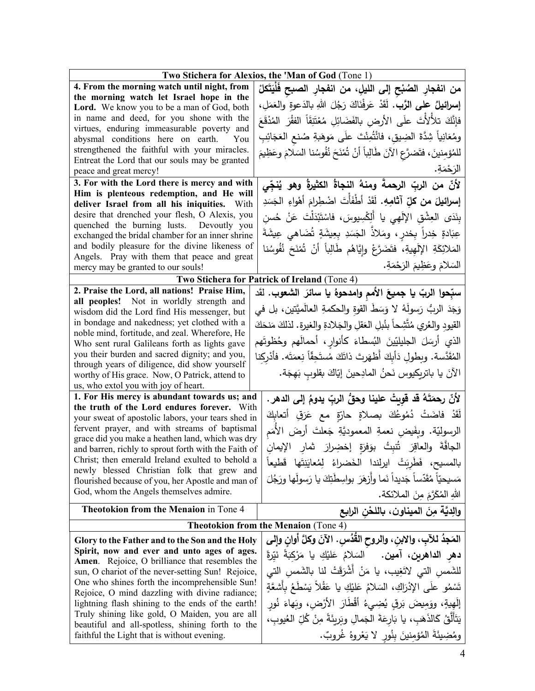| Two Stichera for Alexios, the 'Man of God (Tone 1)                                                                  |                                                                                  |  |
|---------------------------------------------------------------------------------------------------------------------|----------------------------------------------------------------------------------|--|
| 4. From the morning watch until night, from                                                                         | من انفجارِ الصُبْحِ إلى الليلِ، من انفجارِ الصبحِ فَلْيَتَكلْ                    |  |
| the morning watch let Israel hope in the<br>Lord. We know you to be a man of God, both                              | إِسرائِيلُ على الرَّبِ. لَقَدْ عَرِفْنَاكَ رَجُلَ اللهِ بالدَعوةِ والعَمَلِ،     |  |
| in name and deed, for you shone with the                                                                            | فإِنَّكَ تلألأتَ علَى الأرضِ بالفَضَائِلِ مُعْتَنِقَاً الفقْرَ المُذْقَعَ        |  |
| virtues, enduring immeasurable poverty and<br>abysmal conditions here on earth.<br>You                              | ومُعَانِياً شِدَّةَ الضِيقِ، فانْتُمِنْتَ علَى مَوهَبةِ صُنع العَجَائِبِ         |  |
| strengthened the faithful with your miracles.                                                                       | للمُؤمِنينَ، فتَضرَّعِ الآنَ طَالِباً أنْ تُمْنَحَ نُفُوسُنا السَلامَ وعَظِيمَ   |  |
| Entreat the Lord that our souls may be granted                                                                      |                                                                                  |  |
| peace and great mercy!                                                                                              | الرَحْمَةِ.                                                                      |  |
| 3. For with the Lord there is mercy and with                                                                        | لأنّ من الربّ الرحمةَ ومنهُ النجاةُ الكثيرةُ وهو يُنجِّى                         |  |
| Him is plenteous redemption, and He will<br>deliver Israel from all his iniquities. With                            | إسرائيلَ من كلِّ آثامِهِ. لَقَدْ أَطْفَأَتَ اضْطِرامَ أَهْواءِ الجَسَدِ          |  |
| desire that drenched your flesh, O Alexis, you                                                                      | بِنَدَى العِشْقِ الإِلَهِي يا أَلِكْسِيوسَ، فاسْتَبْدَلْتَ عَنْ حُسنِ            |  |
| quenched the burning lusts. Devoutly you<br>exchanged the bridal chamber for an inner shrine                        | عِبَادةٍ خِدراً بِخدرٍ ، ومَلاذٌ الجَسَدِ بِعِيشَةٍ تُضَاهى عِيشَةَ              |  |
| and bodily pleasure for the divine likeness of                                                                      | المَلائِكَةِ الإِلَهِيةِ، فتَضَرَّعْ وإِيَّاهُم طَالِباً أَنْ تُمْنَحَ نُفُوسُنا |  |
| Angels. Pray with them that peace and great                                                                         | السَلامَ وعَظِيمَ الرَحْمَةِ.                                                    |  |
| mercy may be granted to our souls!                                                                                  |                                                                                  |  |
| Two Stichera for Patrick of Ireland (Tone 4)                                                                        |                                                                                  |  |
| 2. Praise the Lord, all nations! Praise Him,<br>all peoples! Not in worldly strength and                            | سبِّحوا الربّ يا جميعَ الأمم وامدحوهُ يا سائرَ الشعوب. لقَد                      |  |
| wisdom did the Lord find His messenger, but                                                                         | وَجَدَ الربُّ رَسولَهُ لا وَسَطَ القوةِ والحكمةِ العالَميَّتين، بل في            |  |
| in bondage and nakedness; yet clothed with a                                                                        | القيود والعُري مُتَّشِحاً بنُبلِ العَقلِ والجَلادةِ والغيرةِ. لذلكَ مَنحَكَ      |  |
| noble mind, fortitude, and zeal. Wherefore, He                                                                      | الذي أرسَلَ الجليليّينَ النُسطاءَ كأنوارِ ، أحمالَهم وحُظوتَهم                   |  |
| Who sent rural Galileans forth as lights gave<br>you their burden and sacred dignity; and you,                      |                                                                                  |  |
| through years of diligence, did show yourself                                                                       | المُقَدَّسة. وبطولِ دَأَبِكَ أَظهَرتَ ذاتَكَ مُستَحِقًّا نِعمَتَه. فأَدْرِكنا    |  |
| worthy of His grace. Now, O Patrick, attend to                                                                      | الآنَ يا باتريكيوس نَحنُ المادِحينَ إيّاكَ بقلوبٍ بَهجَة.                        |  |
| us, who extol you with joy of heart.                                                                                |                                                                                  |  |
| 1. For His mercy is abundant towards us; and<br>the truth of the Lord endures forever. With                         | لأنّ رحمَتَهُ قد قويتْ علينا وحقُّ الربِّ يدومُ إلى الدهر.                       |  |
| your sweat of apostolic labors, your tears shed in                                                                  | لَقَدْ فاضَتْ دُمُوعُكَ بصلاةٍ حارّةٍ مع عَرَقِ أتعابِكَ                         |  |
| fervent prayer, and with streams of baptismal                                                                       | الرسوليّة. وبِفَيضٍ نعمةِ المعموديَّةِ جَعلتَ أرضَ الأمَم                        |  |
| grace did you make a heathen land, which was dry<br>and barren, richly to sprout forth with the Faith of            | الجافَّةَ والعاقِرَ تُنبِتُ بوَفرَةٍ إخضِرارَ شار الإيمان                        |  |
| Christ; then emerald Ireland exulted to behold a                                                                    | بالمسيح، فَطربَتْ ايرلندا الخَضراءُ لِمُعايَنِتَها قَطيعاً                       |  |
| newly blessed Christian folk that grew and<br>flourished because of you, her Apostle and man of                     | مَسيحيّاً مُقَدّساً جَديداً نَما وأزهَرَ بواسِطَتِكَ يا رَسولَها ورَجُلَ         |  |
| God, whom the Angels themselves admire.                                                                             | اللهِ المُكَرَّمَ مِنَ الملائكة.                                                 |  |
| Theotokion from the Menaion in Tone 4                                                                               | والديَّة منَ الميناونِ، باللحْنِ الرابِعِ                                        |  |
|                                                                                                                     | Theotokion from the Menaion (Tone 4)                                             |  |
| المَجِدُ للآبِ، والابنِ، والروح القُدُسِ. الآنَ وكلَّ أوانٍ وإلى<br>Glory to the Father and to the Son and the Holy |                                                                                  |  |
| Spirit, now and ever and unto ages of ages.                                                                         |                                                                                  |  |
| Amen. Rejoice, O brilliance that resembles the                                                                      | <b>دهر الداهرين، آمين.</b> السَلامُ عَليْكِ يا مَرْكِبَةَ نَيِّرةً               |  |
| sun, O chariot of the never-setting Sun! Rejoice,                                                                   | للشَّمس التي لاتَغِيب، يا مَنْ أشْرَقَتْ لنا بالشَّمس التي                       |  |
| One who shines forth the incomprehensible Sun!<br>Rejoice, O mind dazzling with divine radiance;                    | تَسْمُو علَى الإِدْرَاكِ، السَلامُ عَلَيْكِ يا عَقْلاً يَسْطَعُ بِأَشْعَةٍ       |  |
| lightning flash shining to the ends of the earth!                                                                   | إِلَهِيةٍ، ووَمِيضَ بَرقِ يُضِيءُ أَقْطَارَ الأَرْضِ، وبَهاءَ نُور               |  |
| Truly shining like gold, O Maiden, you are all<br>beautiful and all-spotless, shining forth to the                  | يَتَأَلَّقُ كَالذَهَبِ، يا بَارِعَةَ الجَمالِ وبَرِيئَةً مِنْ كُلِّ العُيوبِ،    |  |
| faithful the Light that is without evening.                                                                         | ومُضِيئَةَ المُؤمِنينَ بِنُورٍ لا يَعْرِوهُ غُروبٌ.                              |  |
|                                                                                                                     |                                                                                  |  |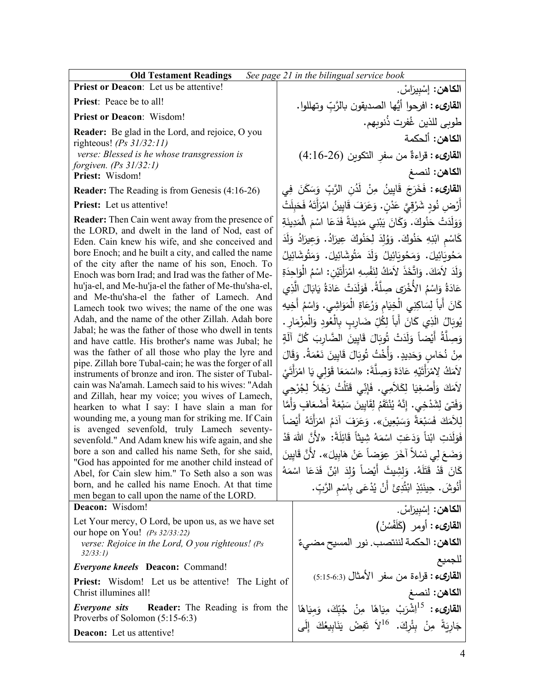**Priest or Deacon**: Let us be attentive!

**Priest**: Peace be to all!

**Priest or Deacon**: Wisdom!

**Reader:** Be glad in the Lord, and rejoice, O you righteous! *(Ps 31/32:11) verse: Blessed is he whose transgression is forgiven. (Ps 31/32:1)* **Priest:** Wisdom!

**Reader:** The Reading is from Genesis (4:16-26)

**Priest:** Let us attentive!

**Reader:** Then Cain went away from the presence of the LORD, and dwelt in the land of Nod, east of Eden. Cain knew his wife, and she conceived and bore Enoch; and he built a city, and called the name of the city after the name of his son, Enoch. To Enoch was born Irad; and Irad was the father of Mehu'ja-el, and Me-hu'ja-el the father of Me-thu'sha-el, and Me-thu'sha-el the father of Lamech. And Lamech took two wives; the name of the one was Adah, and the name of the other Zillah. Adah bore Jabal; he was the father of those who dwell in tents and have cattle. His brother's name was Jubal; he was the father of all those who play the lyre and pipe. Zillah bore Tubal-cain; he was the forger of all instruments of bronze and iron. The sister of Tubalcain was Na'amah. Lamech said to his wives: "Adah and Zillah, hear my voice; you wives of Lamech, hearken to what I say: I have slain a man for wounding me, a young man for striking me. If Cain is avenged sevenfold, truly Lamech seventysevenfold." And Adam knew his wife again, and she bore a son and called his name Seth, for she said, "God has appointed for me another child instead of Abel, for Cain slew him." To Seth also a son was born, and he called his name Enoch. At that time men began to call upon the name of the LORD. **Deacon:** Wisdom!

Let Your mercy, O Lord, be upon us, as we have set our hope on You! *(Ps 32/33:22) verse: Rejoice in the Lord, O you righteous! (Ps* 

*32/33:1)*

*Everyone kneels* **Deacon:** Command!

**Priest:** Wisdom! Let us be attentive! The Light of Christ illumines all!

*Everyone sits* **Reader:** The Reading is from the Proverbs of Solomon (5:15-6:3)

**Deacon:** Let us attentive!

ا**لكاهن:** إسْبِيرَاسْ.<br>· ْ <mark>القارىء :</mark> افرحوا أيُّها الصديقون بالرَّبِّ وتهللوا.<br>ّ طوبي للذين غُفرت ذُنوبِهم. **الكاهن:** ألحكمة قراءة (4:16-26) ٌ **القارىء:** ِ من سفر التكو�ن **الكاهن:** لنصغ **القارىء :** فَخَرَجَ قَايِينُ مِنْ لَدُنِ الرَّبِّ وَسَكَنَ فِي<br>أ أَرْضِ نُودٍ شَرْقِيَّ عَدْنٍ. وَعَرَفَ قَايِينُ امْرَأَتَهُ فَحَبِلَتْ .<br>م وَوَلَدَتْ حَنُوكَ. وَكَانَ يَبْنِي مَدِينَةً فَدَعَا اسْمَ الْمَدِينَةِ<br>يَسْتَمْسُلُونَ مَنْ الْمَدِينَةِ ْ كَاسْمِ ابْنِهِ حَنُوكَ. وَوُلِدَ لِحَنُوكَ عِيرَادُ. وَعِيرَادُ وَلَدَ مَحُويَائِيلَ. وَمَحُويَائِيلُ وَلَدَ مَتُوشَائِيلَ. وَمَتُوشَائِيلُ<br>مَحُويَائِيلَ. وَلَدَ لأَمَكَ. وَاتَّخَذَ لأَمَكُ لِنَفْسِهِ امْرَأَتَيْنِ: اسْمُ الْوَاحِدَةِ<br>وَلَدَ الْمَكَ وَاتَّخَذَ لأَمَكُ لِنَفْسِهِ امْرَأَتَيْنِ: اسْمُ الْوَاحِدَةِ .<br>ا عَادَةُ وَاسْمُ الأُخْرَى صِلَّةُ. فَوَلَدَتْ عَادَةُ يَابَالَ الَّذِي<br>مَسْطَةٌ وَاسْمُ الأُخْرَى كَانَ أَباً لِسَاكِنِي الْخِيَامِ وَرُعَاةِ الْمَوَاشِي. وَاسْمُ أَخِيهِ<br>. ُ َال َ <sup>ی</sup> َال ُو� ُ ِود و ِ َ<sup>ض</sup> ِارٍب ِ � ْالع ّ ُل ِك ً ل َ أَ�ا َان َ <sup>ذ</sup> ْال ِار. ِي � ْزم ِ م َ َ ِایین َ ق َال ُو� َ ْت ت َد ل َ ً و ْضا ُة أَ� َّ ِصل ٍ و ا َ َة ُ َّل آل � َ َّ لض ِارب مِنْ نُحَاسٍ وَحَدِيدٍ. وَأُخْتُ تُوبَالَ قَابِينَ نَعْمَةُ. وَقَالَ<br>يَسِيدُ لاَمَكُ لِامْرَأَتَيْهِ عَادَةَ وَصِلَّةَ: «اسْمَعَا قَوْلِي يَا امْرَأَتَيْ<br>فَيَانِ فَيَحْسَبُ فَيَتَمَّسَ الْمَرْأَتَيْهِ ْ لاَمَكَ وَأَصْغِيَا لِكَلاَمِي. فَإِنِّي قَتَلْتُ رَجُلاً لِجُرْجِي<br>-.<br>ا وَفَت<sub>َ</sub>ىَ لِشَدْخِي. إِنَّهُ يُنْتَقَمُ لِقَايِينَ سَبْعَةَ أَضْعَافٍ وَأَمَّا<br>اذْخاءَ فَيْشَةَ الْمُسْتَقَمُّ لِقَايِينَ سَبْعَةَ أَضْعَافٍ وَأَمَّا لِلأَمَكَ فَسَبْعَةً وَسَبْعِينَ». وَعَرَفَ آدَمُ امْرَأَتَهُ أَيْضاً<br>وَيَمَسْ الْمُسْتَمَرَّةُ الْمَسْتَمِينَ َ ِت َد ل َ ِت <sup>ف</sup> <sup>ا</sup> َو َ َع َد ً و َ ًة ب ا : ْنا ِل َائ ً ق ُ ِ شیثا َه د َ <sup>س</sup> «لأَ َّن ْ <sup>م</sup> الله َ ق .<br>-وَضَعَ لِي نَسْلاً آخَرَ عِوَضاً عَنْ هَابِيلَ». لأَنَّ قَايِينَ<br>يَسْمَدَ بِيَّنِينَ كَانَ قَدْ قَتَلَهُ. وَلِشِيثَ أَيْضاً وُلِدَ ابْنٌ فَدَعَا اسْمَهُ<br>ئَفْسُنَةٌ مَنْ يَسْتَدِيثَةٍ مَنْ الْمَسْمَةُ أَنُوشَ. حِينَئِذٍ ابْتُدِئَ أَنْ يُدْعَى بِاسْمِ الرَّبِّ.

ا**لكاهن:** إسْبِيرَاسْ.<br>م ْ ا**لقارىء :** أومر (كَلَفْسُنْ)<br>' ا**لكاهن:** الحكمة لننتصب. نور المسيح مضييءٌ للجميع **القارىء:** قراءة من سفر الأمثال (5:15-6:3) **الكاهن:** لنصغ **القاريء:** <sup>15</sup>إشْرَبْ مِيَاهًا مِنْ جُبِّكَ، وَمِيَاهًا<br>مُسْتَمَرْدِ الْمَسْرَبِّينَ مِيَاهَا جَارِيَةً مِنْ بِئُرِكَ. <sup>16</sup>لاَ تَفِضْ يَنَابِيعُكَ إِلَى لاً تَفِ<mark>ضْ</mark> يَا